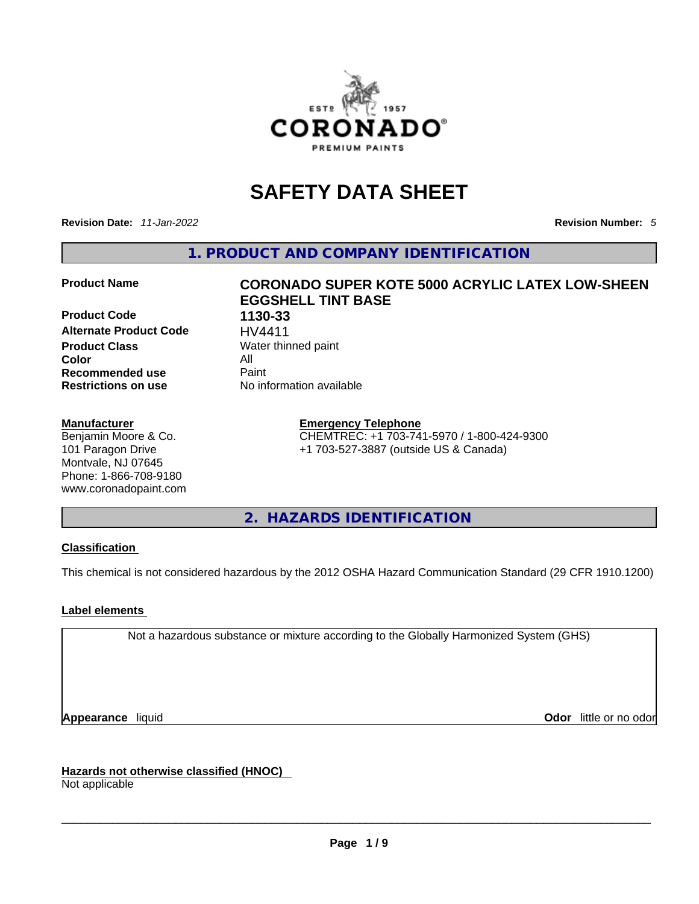

## **SAFETY DATA SHEET**

**Revision Date:** *11-Jan-2022* **Revision Number:** *5*

**1. PRODUCT AND COMPANY IDENTIFICATION** 

**Product Code 1130-33 Alternate Product Code HV4411**<br>**Product Class** Water thin **Color** All **Recommended use All Property Recommended use Restrictions on use** No information available

#### **Manufacturer**

Benjamin Moore & Co. 101 Paragon Drive Montvale, NJ 07645 Phone: 1-866-708-9180 www.coronadopaint.com

## **Product Name CORONADO SUPER KOTE 5000 ACRYLIC LATEX LOW-SHEEN EGGSHELL TINT BASE**

**Water thinned paint** 

#### **Emergency Telephone**

CHEMTREC: +1 703-741-5970 / 1-800-424-9300 +1 703-527-3887 (outside US & Canada)

**2. HAZARDS IDENTIFICATION** 

#### **Classification**

This chemical is not considered hazardous by the 2012 OSHA Hazard Communication Standard (29 CFR 1910.1200)

#### **Label elements**

Not a hazardous substance or mixture according to the Globally Harmonized System (GHS)

**Appearance** liquid **Odor 11** and **Odor 11** and **Odor 11** and **Odor 11** and **Odor 11** and **Odor** 11 and **Odor** 11 and **Odor** 11 and **Odor** 11 and **Odor** 11 and **Odor** 11 and **Odor** 11 and **Odor** 11 and **Odor** 11 and **Odor** 

## **Hazards not otherwise classified (HNOC)**

Not applicable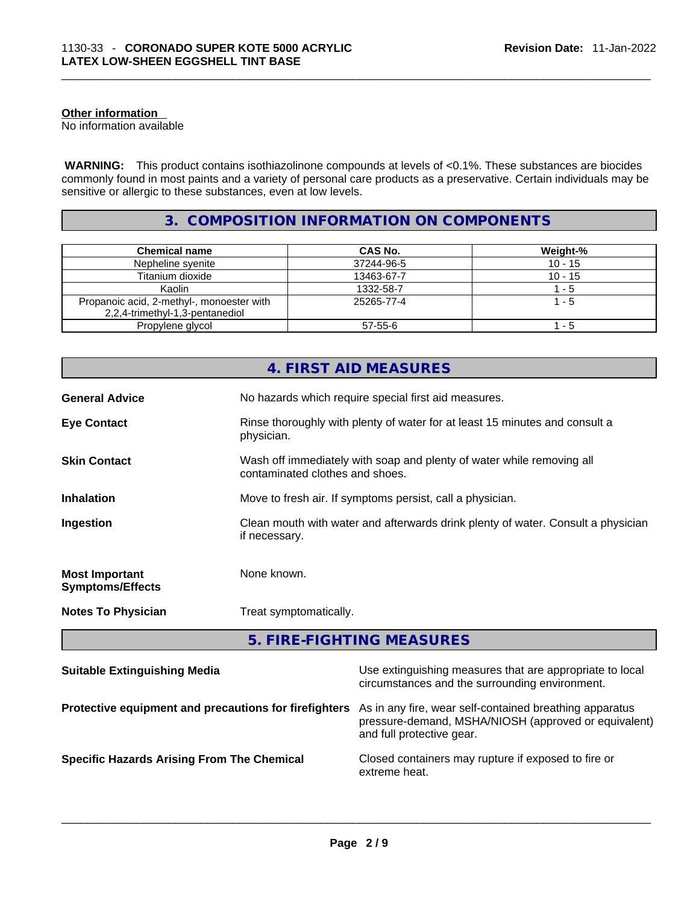#### **Other information**

No information available

 **WARNING:** This product contains isothiazolinone compounds at levels of <0.1%. These substances are biocides commonly found in most paints and a variety of personal care products as a preservative. Certain individuals may be sensitive or allergic to these substances, even at low levels.

#### **3. COMPOSITION INFORMATION ON COMPONENTS**

| <b>Chemical name</b>                                                         | <b>CAS No.</b> | Weight-%  |
|------------------------------------------------------------------------------|----------------|-----------|
| Nepheline syenite                                                            | 37244-96-5     | $10 - 15$ |
| Titanium dioxide                                                             | 13463-67-7     | $10 - 15$ |
| Kaolin                                                                       | 1332-58-7      | 1 - 5     |
| Propanoic acid, 2-methyl-, monoester with<br>2,2,4-trimethyl-1,3-pentanediol | 25265-77-4     | $1 - 5$   |
| Propylene glycol                                                             | 57-55-6        | - 5       |

| No hazards which require special first aid measures.<br><b>General Advice</b><br><b>Eye Contact</b><br>Rinse thoroughly with plenty of water for at least 15 minutes and consult a<br>physician.<br><b>Skin Contact</b><br>Wash off immediately with soap and plenty of water while removing all<br>contaminated clothes and shoes. |
|-------------------------------------------------------------------------------------------------------------------------------------------------------------------------------------------------------------------------------------------------------------------------------------------------------------------------------------|
|                                                                                                                                                                                                                                                                                                                                     |
|                                                                                                                                                                                                                                                                                                                                     |
|                                                                                                                                                                                                                                                                                                                                     |
| Move to fresh air. If symptoms persist, call a physician.<br><b>Inhalation</b>                                                                                                                                                                                                                                                      |
| Clean mouth with water and afterwards drink plenty of water. Consult a physician<br>Ingestion<br>if necessary.                                                                                                                                                                                                                      |
| None known.<br><b>Most Important</b><br><b>Symptoms/Effects</b>                                                                                                                                                                                                                                                                     |
| <b>Notes To Physician</b><br>Treat symptomatically.                                                                                                                                                                                                                                                                                 |

| <b>Suitable Extinguishing Media</b>                   | Use extinguishing measures that are appropriate to local<br>circumstances and the surrounding environment.                                   |
|-------------------------------------------------------|----------------------------------------------------------------------------------------------------------------------------------------------|
| Protective equipment and precautions for firefighters | As in any fire, wear self-contained breathing apparatus<br>pressure-demand, MSHA/NIOSH (approved or equivalent)<br>and full protective gear. |
| <b>Specific Hazards Arising From The Chemical</b>     | Closed containers may rupture if exposed to fire or<br>extreme heat.                                                                         |
|                                                       |                                                                                                                                              |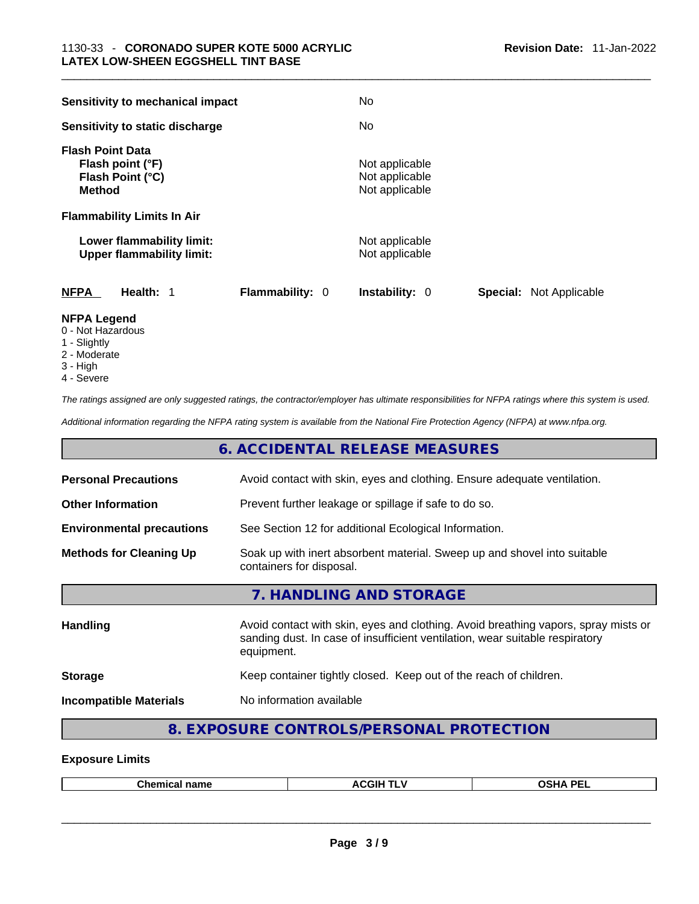| Sensitivity to mechanical impact                                                 |                 | No.                                                |                                |
|----------------------------------------------------------------------------------|-----------------|----------------------------------------------------|--------------------------------|
| Sensitivity to static discharge                                                  |                 | No.                                                |                                |
| <b>Flash Point Data</b><br>Flash point (°F)<br>Flash Point (°C)<br><b>Method</b> |                 | Not applicable<br>Not applicable<br>Not applicable |                                |
| <b>Flammability Limits In Air</b>                                                |                 |                                                    |                                |
| Lower flammability limit:<br><b>Upper flammability limit:</b>                    |                 | Not applicable<br>Not applicable                   |                                |
| <b>NFPA</b><br>Health: 1                                                         | Flammability: 0 | <b>Instability: 0</b>                              | <b>Special: Not Applicable</b> |
| $\blacksquare$                                                                   |                 |                                                    |                                |

- **NFPA Legend**
- 0 Not Hazardous 1 - Slightly
- 2 Moderate
- 3 High
- 4 Severe

*The ratings assigned are only suggested ratings, the contractor/employer has ultimate responsibilities for NFPA ratings where this system is used.* 

*Additional information regarding the NFPA rating system is available from the National Fire Protection Agency (NFPA) at www.nfpa.org.* 

#### **6. ACCIDENTAL RELEASE MEASURES**

| <b>Personal Precautions</b>      | Avoid contact with skin, eyes and clothing. Ensure adequate ventilation.                                                                                                         |
|----------------------------------|----------------------------------------------------------------------------------------------------------------------------------------------------------------------------------|
| <b>Other Information</b>         | Prevent further leakage or spillage if safe to do so.                                                                                                                            |
| <b>Environmental precautions</b> | See Section 12 for additional Ecological Information.                                                                                                                            |
| <b>Methods for Cleaning Up</b>   | Soak up with inert absorbent material. Sweep up and shovel into suitable<br>containers for disposal.                                                                             |
|                                  | 7. HANDLING AND STORAGE                                                                                                                                                          |
| Handling                         | Avoid contact with skin, eyes and clothing. Avoid breathing vapors, spray mists or<br>sanding dust. In case of insufficient ventilation, wear suitable respiratory<br>equipment. |
| <b>Storage</b>                   | Keep container tightly closed. Keep out of the reach of children.                                                                                                                |
| <b>Incompatible Materials</b>    | No information available                                                                                                                                                         |
|                                  |                                                                                                                                                                                  |

### **8. EXPOSURE CONTROLS/PERSONAL PROTECTION**

#### **Exposure Limits**

| Chemical<br>name | -сн<br>1 L V | <b>DEL</b><br><b>OCUA</b><br>בע |
|------------------|--------------|---------------------------------|
|                  |              |                                 |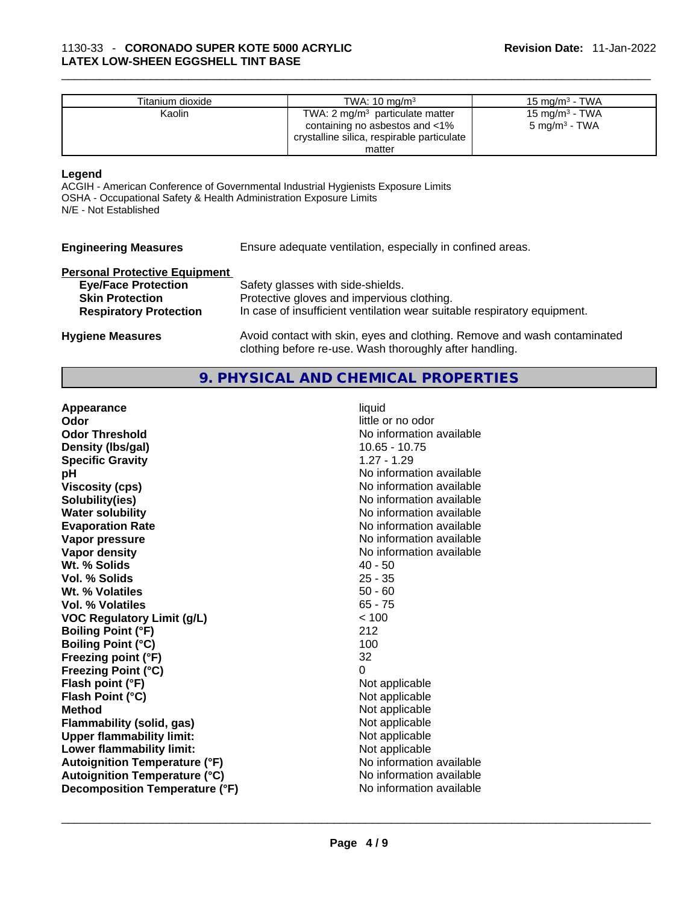| Titanium dioxide | TWA: $10 \text{ ma/m}^3$                   | 15 mg/m $3$ - TWA |
|------------------|--------------------------------------------|-------------------|
| Kaolin           | TWA: $2 \text{ mq/m}^3$ particulate matter | 15 mg/m $3$ - TWA |
|                  | containing no asbestos and $<$ 1%          | 5 mg/m $^3$ - TWA |
|                  | crystalline silica, respirable particulate |                   |
|                  | matter                                     |                   |

#### **Legend**

ACGIH - American Conference of Governmental Industrial Hygienists Exposure Limits OSHA - Occupational Safety & Health Administration Exposure Limits N/E - Not Established

| <b>Engineering Measures</b> | Ensure |
|-----------------------------|--------|
|-----------------------------|--------|

**Engineering Measures** Ensure adequate ventilation, especially in confined areas.

## **Personal Protective Equipment**

| Personal Protective Equipment |                                                                                                                                     |
|-------------------------------|-------------------------------------------------------------------------------------------------------------------------------------|
| <b>Eye/Face Protection</b>    | Safety glasses with side-shields.                                                                                                   |
| <b>Skin Protection</b>        | Protective gloves and impervious clothing.                                                                                          |
| <b>Respiratory Protection</b> | In case of insufficient ventilation wear suitable respiratory equipment.                                                            |
| <b>Hygiene Measures</b>       | Avoid contact with skin, eyes and clothing. Remove and wash contaminated<br>clothing before re-use. Wash thoroughly after handling. |

#### **9. PHYSICAL AND CHEMICAL PROPERTIES**

| Appearance                           | liquid                   |
|--------------------------------------|--------------------------|
| Odor                                 | little or no odor        |
| <b>Odor Threshold</b>                | No information available |
| Density (Ibs/gal)                    | $10.65 - 10.75$          |
| <b>Specific Gravity</b>              | $1.27 - 1.29$            |
| pH                                   | No information available |
| <b>Viscosity (cps)</b>               | No information available |
| Solubility(ies)                      | No information available |
| <b>Water solubility</b>              | No information available |
| <b>Evaporation Rate</b>              | No information available |
| Vapor pressure                       | No information available |
| Vapor density                        | No information available |
| Wt. % Solids                         | $40 - 50$                |
| <b>Vol. % Solids</b>                 | $25 - 35$                |
| Wt. % Volatiles                      | $50 - 60$                |
| <b>Vol. % Volatiles</b>              | $65 - 75$                |
| <b>VOC Regulatory Limit (g/L)</b>    | < 100                    |
| <b>Boiling Point (°F)</b>            | 212                      |
| <b>Boiling Point (°C)</b>            | 100                      |
| Freezing point (°F)                  | 32                       |
| <b>Freezing Point (°C)</b>           | 0                        |
| Flash point (°F)                     | Not applicable           |
| Flash Point (°C)                     | Not applicable           |
| <b>Method</b>                        | Not applicable           |
| <b>Flammability (solid, gas)</b>     | Not applicable           |
| <b>Upper flammability limit:</b>     | Not applicable           |
| Lower flammability limit:            | Not applicable           |
| <b>Autoignition Temperature (°F)</b> | No information available |
| <b>Autoignition Temperature (°C)</b> | No information available |
| Decomposition Temperature (°F)       | No information available |
|                                      |                          |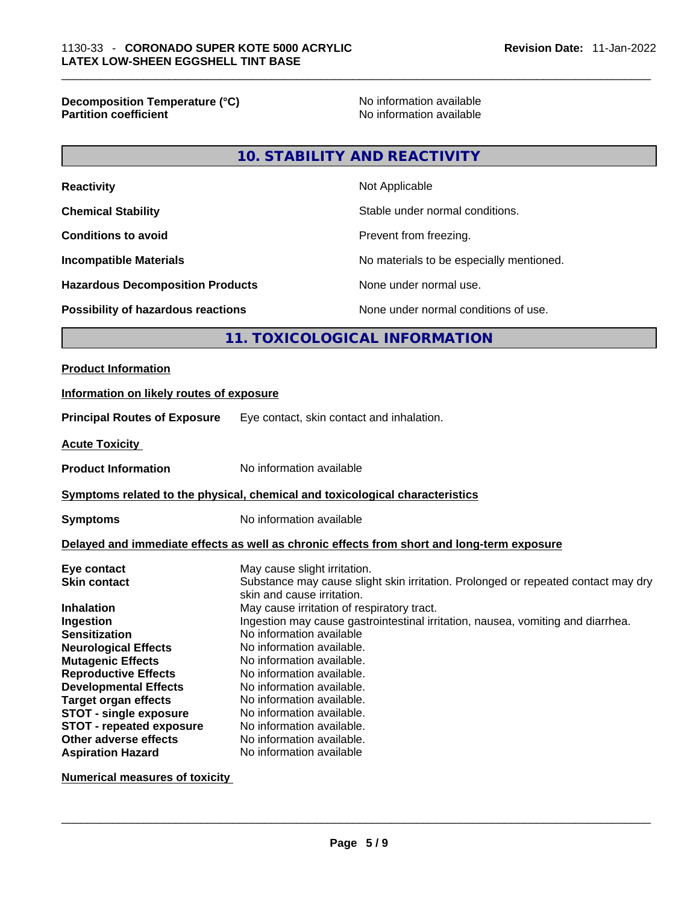**Decomposition Temperature (°C)** No information available **Partition coefficient** 

#### **10. STABILITY AND REACTIVITY**

| Not Applicable                           |
|------------------------------------------|
| Stable under normal conditions.          |
| Prevent from freezing.                   |
| No materials to be especially mentioned. |
| None under normal use.                   |
| None under normal conditions of use.     |
|                                          |

#### **11. TOXICOLOGICAL INFORMATION**

#### **Product Information**

## **Information on likely routes of exposure Principal Routes of Exposure** Eye contact, skin contact and inhalation. **Acute Toxicity Product Information** No information available **<u>Symptoms related to the physical, chemical and toxicological characteristics</u> Symptoms** No information available **Delayed and immediate effects as well as chronic effects from short and long-term exposure**

| Eye contact                     | May cause slight irritation.                                                      |
|---------------------------------|-----------------------------------------------------------------------------------|
| <b>Skin contact</b>             | Substance may cause slight skin irritation. Prolonged or repeated contact may dry |
|                                 | skin and cause irritation.                                                        |
| <b>Inhalation</b>               | May cause irritation of respiratory tract.                                        |
| Ingestion                       | Ingestion may cause gastrointestinal irritation, nausea, vomiting and diarrhea.   |
| <b>Sensitization</b>            | No information available                                                          |
| <b>Neurological Effects</b>     | No information available.                                                         |
| <b>Mutagenic Effects</b>        | No information available.                                                         |
| <b>Reproductive Effects</b>     | No information available.                                                         |
| <b>Developmental Effects</b>    | No information available.                                                         |
| Target organ effects            | No information available.                                                         |
| <b>STOT - single exposure</b>   | No information available.                                                         |
| <b>STOT - repeated exposure</b> | No information available.                                                         |
| Other adverse effects           | No information available.                                                         |
| <b>Aspiration Hazard</b>        | No information available                                                          |

**Numerical measures of toxicity**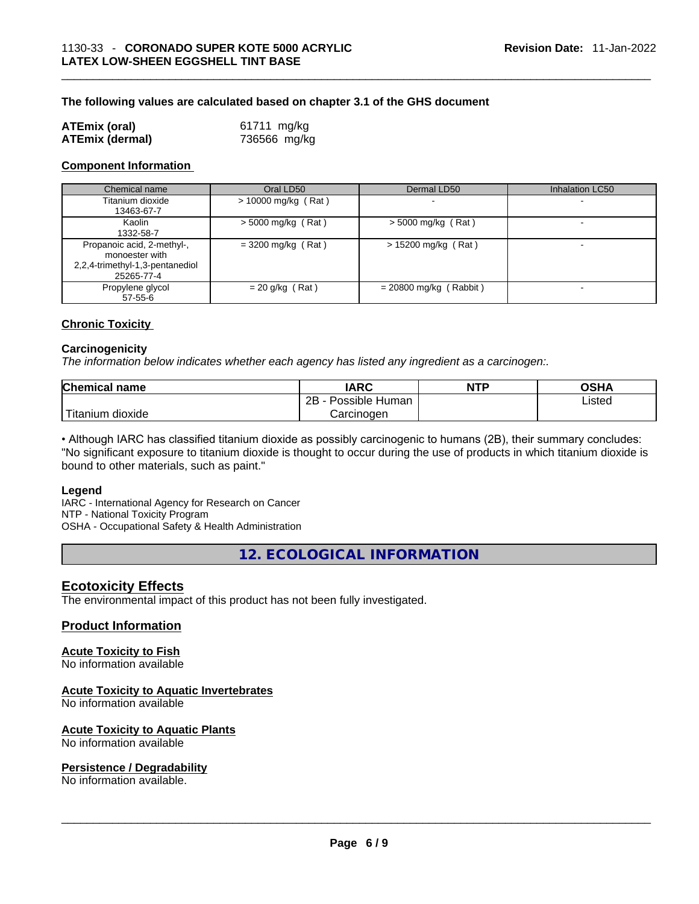#### **The following values are calculated based on chapter 3.1 of the GHS document**

| <b>ATEmix (oral)</b>   | 61711 mg/kg  |
|------------------------|--------------|
| <b>ATEmix (dermal)</b> | 736566 mg/kg |

#### **Component Information**

| Chemical name                                                                                 | Oral LD50             | Dermal LD50              | <b>Inhalation LC50</b>   |
|-----------------------------------------------------------------------------------------------|-----------------------|--------------------------|--------------------------|
| Titanium dioxide<br>13463-67-7                                                                | $> 10000$ mg/kg (Rat) |                          | $\overline{\phantom{a}}$ |
| Kaolin<br>1332-58-7                                                                           | $>$ 5000 mg/kg (Rat)  | $>$ 5000 mg/kg (Rat)     |                          |
| Propanoic acid, 2-methyl-,<br>monoester with<br>2,2,4-trimethyl-1,3-pentanediol<br>25265-77-4 | $=$ 3200 mg/kg (Rat)  | $> 15200$ mg/kg (Rat)    |                          |
| Propylene glycol<br>$57 - 55 - 6$                                                             | $= 20$ g/kg (Rat)     | $= 20800$ mg/kg (Rabbit) | $\overline{\phantom{0}}$ |

#### **Chronic Toxicity**

#### **Carcinogenicity**

*The information below indicates whether each agency has listed any ingredient as a carcinogen:.* 

| <b>Chemical name</b>  | IARC                 | <b>NTP</b> | OSHA   |
|-----------------------|----------------------|------------|--------|
|                       | Possible Human<br>2B |            | ∟isted |
| Titanium J<br>dioxide | Carcinoɑen           |            |        |

• Although IARC has classified titanium dioxide as possibly carcinogenic to humans (2B), their summary concludes: "No significant exposure to titanium dioxide is thought to occur during the use of products in which titanium dioxide is bound to other materials, such as paint."

#### **Legend**

IARC - International Agency for Research on Cancer NTP - National Toxicity Program OSHA - Occupational Safety & Health Administration

**12. ECOLOGICAL INFORMATION** 

#### **Ecotoxicity Effects**

The environmental impact of this product has not been fully investigated.

#### **Product Information**

#### **Acute Toxicity to Fish**

No information available

#### **Acute Toxicity to Aquatic Invertebrates**

No information available

## **Acute Toxicity to Aquatic Plants**

# No information available \_\_\_\_\_\_\_\_\_\_\_\_\_\_\_\_\_\_\_\_\_\_\_\_\_\_\_\_\_\_\_\_\_\_\_\_\_\_\_\_\_\_\_\_\_\_\_\_\_\_\_\_\_\_\_\_\_\_\_\_\_\_\_\_\_\_\_\_\_\_\_\_\_\_\_\_\_\_\_\_\_\_\_\_\_\_\_\_\_\_\_\_\_ **Persistence / Degradability**

No information available.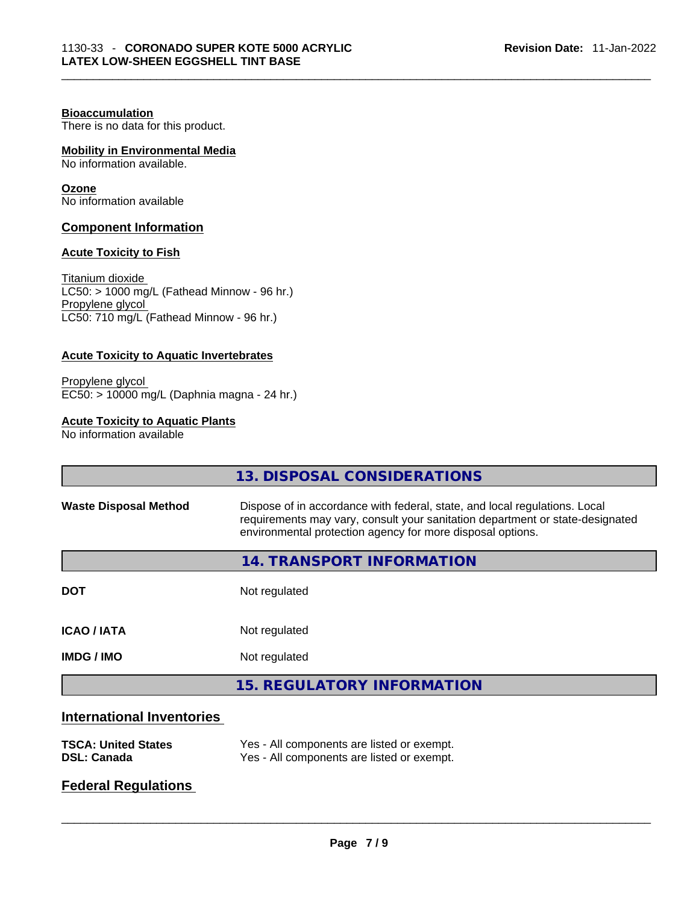#### **Bioaccumulation**

There is no data for this product.

#### **Mobility in Environmental Media**

No information available.

#### **Ozone**

No information available

#### **Component Information**

#### **Acute Toxicity to Fish**

Titanium dioxide  $\overline{\text{LC50:}}$  > 1000 mg/L (Fathead Minnow - 96 hr.) Propylene glycol LC50: 710 mg/L (Fathead Minnow - 96 hr.)

#### **Acute Toxicity to Aquatic Invertebrates**

Propylene glycol EC50: > 10000 mg/L (Daphnia magna - 24 hr.)

#### **Acute Toxicity to Aquatic Plants**

No information available

|                                  | 13. DISPOSAL CONSIDERATIONS                                                                                                                                                                                               |
|----------------------------------|---------------------------------------------------------------------------------------------------------------------------------------------------------------------------------------------------------------------------|
| <b>Waste Disposal Method</b>     | Dispose of in accordance with federal, state, and local regulations. Local<br>requirements may vary, consult your sanitation department or state-designated<br>environmental protection agency for more disposal options. |
|                                  | 14. TRANSPORT INFORMATION                                                                                                                                                                                                 |
| <b>DOT</b>                       | Not regulated                                                                                                                                                                                                             |
| <b>ICAO / IATA</b>               | Not regulated                                                                                                                                                                                                             |
| <b>IMDG / IMO</b>                | Not regulated                                                                                                                                                                                                             |
|                                  | <b>15. REGULATORY INFORMATION</b>                                                                                                                                                                                         |
| <b>International Inventories</b> |                                                                                                                                                                                                                           |

| <b>TSCA: United States</b> | Yes - All components are listed or exempt. |
|----------------------------|--------------------------------------------|
| <b>DSL: Canada</b>         | Yes - All components are listed or exempt. |

#### **Federal Regulations**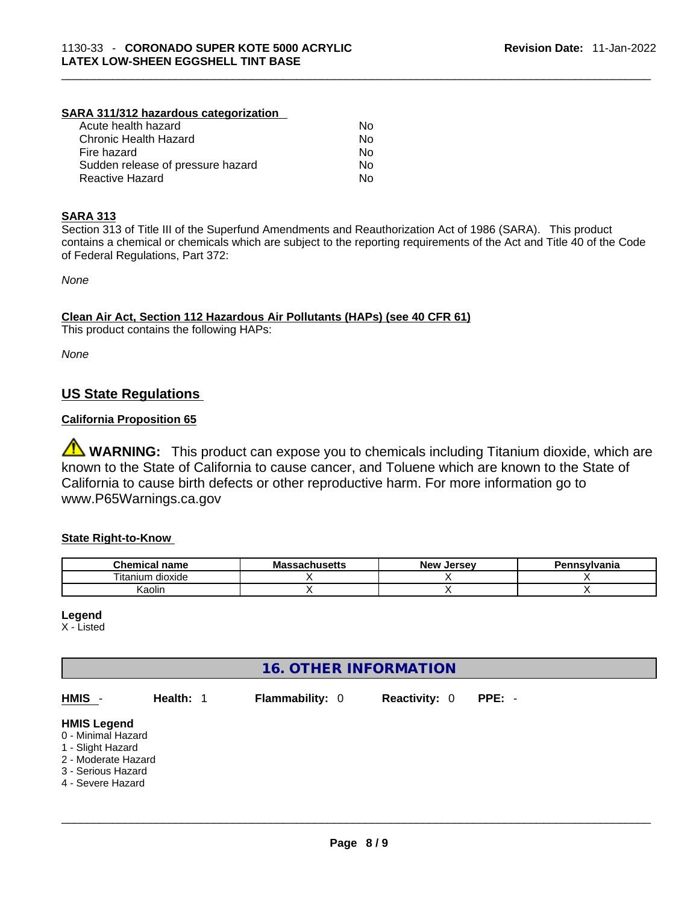#### **SARA 311/312 hazardous categorization**

| Acute health hazard               | No |
|-----------------------------------|----|
| Chronic Health Hazard             | Nο |
| Fire hazard                       | Nο |
| Sudden release of pressure hazard | Nο |
| Reactive Hazard                   | Nο |

#### **SARA 313**

Section 313 of Title III of the Superfund Amendments and Reauthorization Act of 1986 (SARA). This product contains a chemical or chemicals which are subject to the reporting requirements of the Act and Title 40 of the Code of Federal Regulations, Part 372:

*None*

#### **Clean Air Act,Section 112 Hazardous Air Pollutants (HAPs) (see 40 CFR 61)**

This product contains the following HAPs:

*None*

#### **US State Regulations**

#### **California Proposition 65**

**WARNING:** This product can expose you to chemicals including Titanium dioxide, which are known to the State of California to cause cancer, and Toluene which are known to the State of California to cause birth defects or other reproductive harm. For more information go to www.P65Warnings.ca.gov

#### **State Right-to-Know**

| <b>Chemical</b><br>name            | <b>Massachusetts</b> | <b>New</b><br><b>Jersev</b> | Pennsylvania |
|------------------------------------|----------------------|-----------------------------|--------------|
| <b></b><br><br>dioxide<br>⊺ıtanıum |                      |                             |              |
| . .<br>(aolin                      |                      |                             |              |

**Legend**

X - Listed

#### **16. OTHER INFORMATION**

| HMIS -                                                                                                                          | Health: 1 | <b>Flammability: 0</b> | <b>Reactivity: 0</b> | $PPE: -$ |
|---------------------------------------------------------------------------------------------------------------------------------|-----------|------------------------|----------------------|----------|
| <b>HMIS Legend</b><br>0 - Minimal Hazard<br>1 - Slight Hazard<br>2 - Moderate Hazard<br>3 - Serious Hazard<br>4 - Severe Hazard |           |                        |                      |          |